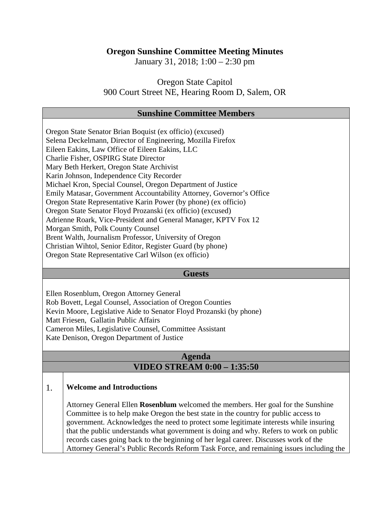## **Oregon Sunshine Committee Meeting Minutes**

January 31, 2018; 1:00 – 2:30 pm

Oregon State Capitol 900 Court Street NE, Hearing Room D, Salem, OR

## **Sunshine Committee Members**

| Oregon State Senator Brian Boquist (ex officio) (excused)            |
|----------------------------------------------------------------------|
| Selena Deckelmann, Director of Engineering, Mozilla Firefox          |
| Eileen Eakins, Law Office of Eileen Eakins, LLC                      |
| Charlie Fisher, OSPIRG State Director                                |
| Mary Beth Herkert, Oregon State Archivist                            |
| Karin Johnson, Independence City Recorder                            |
| Michael Kron, Special Counsel, Oregon Department of Justice          |
| Emily Matasar, Government Accountability Attorney, Governor's Office |
| Oregon State Representative Karin Power (by phone) (ex officio)      |
| Oregon State Senator Floyd Prozanski (ex officio) (excused)          |
| Adrienne Roark, Vice-President and General Manager, KPTV Fox 12      |
| Morgan Smith, Polk County Counsel                                    |
| Brent Walth, Journalism Professor, University of Oregon              |
| Christian Wihtol, Senior Editor, Register Guard (by phone)           |
| Oregon State Representative Carl Wilson (ex officio)                 |

#### **Guests**

Ellen Rosenblum, Oregon Attorney General Rob Bovett, Legal Counsel, Association of Oregon Counties Kevin Moore, Legislative Aide to Senator Floyd Prozanski (by phone) Matt Friesen, Gallatin Public Affairs Cameron Miles, Legislative Counsel, Committee Assistant Kate Denison, Oregon Department of Justice

# **Agenda VIDEO STREAM 0:00 – 1:35:50**

## 1. **Welcome and Introductions**

Attorney General Ellen **Rosenblum** welcomed the members. Her goal for the Sunshine Committee is to help make Oregon the best state in the country for public access to government. Acknowledges the need to protect some legitimate interests while insuring that the public understands what government is doing and why. Refers to work on public records cases going back to the beginning of her legal career. Discusses work of the Attorney General's Public Records Reform Task Force, and remaining issues including the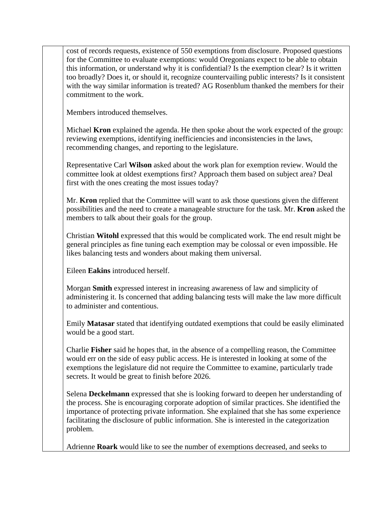cost of records requests, existence of 550 exemptions from disclosure. Proposed questions for the Committee to evaluate exemptions: would Oregonians expect to be able to obtain this information, or understand why it is confidential? Is the exemption clear? Is it written too broadly? Does it, or should it, recognize countervailing public interests? Is it consistent with the way similar information is treated? AG Rosenblum thanked the members for their commitment to the work.

Members introduced themselves.

Michael **Kron** explained the agenda. He then spoke about the work expected of the group: reviewing exemptions, identifying inefficiencies and inconsistencies in the laws, recommending changes, and reporting to the legislature.

Representative Carl **Wilson** asked about the work plan for exemption review. Would the committee look at oldest exemptions first? Approach them based on subject area? Deal first with the ones creating the most issues today?

Mr. **Kron** replied that the Committee will want to ask those questions given the different possibilities and the need to create a manageable structure for the task. Mr. **Kron** asked the members to talk about their goals for the group.

Christian **Witohl** expressed that this would be complicated work. The end result might be general principles as fine tuning each exemption may be colossal or even impossible. He likes balancing tests and wonders about making them universal.

Eileen **Eakins** introduced herself.

Morgan **Smith** expressed interest in increasing awareness of law and simplicity of administering it. Is concerned that adding balancing tests will make the law more difficult to administer and contentious.

Emily **Matasar** stated that identifying outdated exemptions that could be easily eliminated would be a good start.

Charlie **Fisher** said he hopes that, in the absence of a compelling reason, the Committee would err on the side of easy public access. He is interested in looking at some of the exemptions the legislature did not require the Committee to examine, particularly trade secrets. It would be great to finish before 2026.

Selena **Deckelmann** expressed that she is looking forward to deepen her understanding of the process. She is encouraging corporate adoption of similar practices. She identified the importance of protecting private information. She explained that she has some experience facilitating the disclosure of public information. She is interested in the categorization problem.

Adrienne **Roark** would like to see the number of exemptions decreased, and seeks to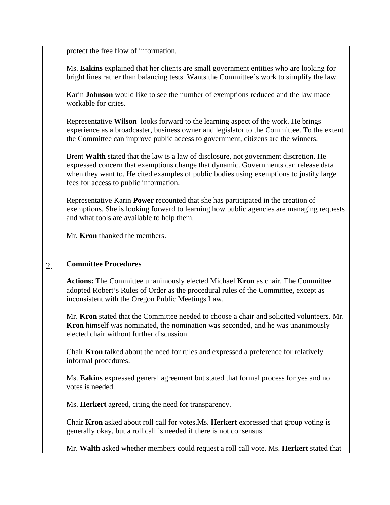|    | protect the free flow of information.                                                                                                                                                                                                                                                                             |
|----|-------------------------------------------------------------------------------------------------------------------------------------------------------------------------------------------------------------------------------------------------------------------------------------------------------------------|
|    |                                                                                                                                                                                                                                                                                                                   |
|    | Ms. Eakins explained that her clients are small government entities who are looking for<br>bright lines rather than balancing tests. Wants the Committee's work to simplify the law.                                                                                                                              |
|    | Karin <b>Johnson</b> would like to see the number of exemptions reduced and the law made<br>workable for cities.                                                                                                                                                                                                  |
|    | Representative Wilson looks forward to the learning aspect of the work. He brings<br>experience as a broadcaster, business owner and legislator to the Committee. To the extent<br>the Committee can improve public access to government, citizens are the winners.                                               |
|    | Brent Walth stated that the law is a law of disclosure, not government discretion. He<br>expressed concern that exemptions change that dynamic. Governments can release data<br>when they want to. He cited examples of public bodies using exemptions to justify large<br>fees for access to public information. |
|    | Representative Karin <b>Power</b> recounted that she has participated in the creation of<br>exemptions. She is looking forward to learning how public agencies are managing requests<br>and what tools are available to help them.                                                                                |
|    | Mr. Kron thanked the members.                                                                                                                                                                                                                                                                                     |
| 2. | <b>Committee Procedures</b>                                                                                                                                                                                                                                                                                       |
|    | Actions: The Committee unanimously elected Michael Kron as chair. The Committee<br>adopted Robert's Rules of Order as the procedural rules of the Committee, except as<br>inconsistent with the Oregon Public Meetings Law.                                                                                       |
|    | Mr. Kron stated that the Committee needed to choose a chair and solicited volunteers. Mr.<br><b>Kron</b> himself was nominated, the nomination was seconded, and he was unanimously<br>elected chair without further discussion.                                                                                  |
|    | Chair <b>Kron</b> talked about the need for rules and expressed a preference for relatively<br>informal procedures.                                                                                                                                                                                               |
|    | Ms. Eakins expressed general agreement but stated that formal process for yes and no<br>votes is needed.                                                                                                                                                                                                          |
|    | Ms. Herkert agreed, citing the need for transparency.                                                                                                                                                                                                                                                             |
|    |                                                                                                                                                                                                                                                                                                                   |
|    | Chair Kron asked about roll call for votes. Ms. Herkert expressed that group voting is<br>generally okay, but a roll call is needed if there is not consensus.                                                                                                                                                    |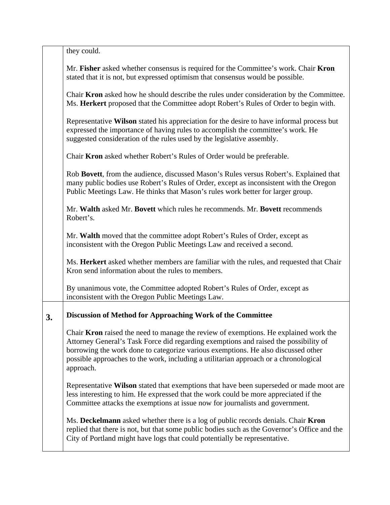|    | they could.                                                                                                                                                                                                                                                                                                                                                            |
|----|------------------------------------------------------------------------------------------------------------------------------------------------------------------------------------------------------------------------------------------------------------------------------------------------------------------------------------------------------------------------|
|    | Mr. Fisher asked whether consensus is required for the Committee's work. Chair Kron<br>stated that it is not, but expressed optimism that consensus would be possible.                                                                                                                                                                                                 |
|    | Chair Kron asked how he should describe the rules under consideration by the Committee.<br>Ms. Herkert proposed that the Committee adopt Robert's Rules of Order to begin with.                                                                                                                                                                                        |
|    | Representative Wilson stated his appreciation for the desire to have informal process but<br>expressed the importance of having rules to accomplish the committee's work. He<br>suggested consideration of the rules used by the legislative assembly.                                                                                                                 |
|    | Chair Kron asked whether Robert's Rules of Order would be preferable.                                                                                                                                                                                                                                                                                                  |
|    | Rob Bovett, from the audience, discussed Mason's Rules versus Robert's. Explained that<br>many public bodies use Robert's Rules of Order, except as inconsistent with the Oregon<br>Public Meetings Law. He thinks that Mason's rules work better for larger group.                                                                                                    |
|    | Mr. Walth asked Mr. Bovett which rules he recommends. Mr. Bovett recommends<br>Robert's.                                                                                                                                                                                                                                                                               |
|    | Mr. Walth moved that the committee adopt Robert's Rules of Order, except as<br>inconsistent with the Oregon Public Meetings Law and received a second.                                                                                                                                                                                                                 |
|    | Ms. Herkert asked whether members are familiar with the rules, and requested that Chair<br>Kron send information about the rules to members.                                                                                                                                                                                                                           |
|    | By unanimous vote, the Committee adopted Robert's Rules of Order, except as<br>inconsistent with the Oregon Public Meetings Law.                                                                                                                                                                                                                                       |
| 3. | Discussion of Method for Approaching Work of the Committee                                                                                                                                                                                                                                                                                                             |
|    | Chair Kron raised the need to manage the review of exemptions. He explained work the<br>Attorney General's Task Force did regarding exemptions and raised the possibility of<br>borrowing the work done to categorize various exemptions. He also discussed other<br>possible approaches to the work, including a utilitarian approach or a chronological<br>approach. |
|    | Representative Wilson stated that exemptions that have been superseded or made moot are<br>less interesting to him. He expressed that the work could be more appreciated if the<br>Committee attacks the exemptions at issue now for journalists and government.                                                                                                       |
|    | Ms. Deckelmann asked whether there is a log of public records denials. Chair Kron<br>replied that there is not, but that some public bodies such as the Governor's Office and the<br>City of Portland might have logs that could potentially be representative.                                                                                                        |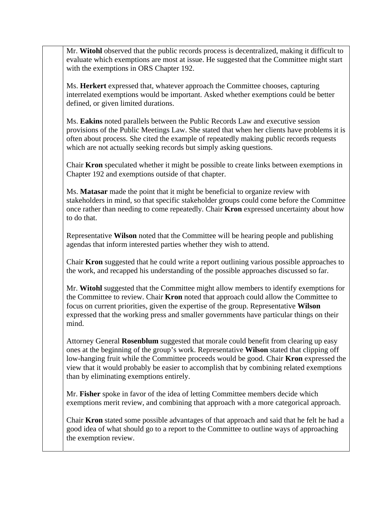Mr. **Witohl** observed that the public records process is decentralized, making it difficult to evaluate which exemptions are most at issue. He suggested that the Committee might start with the exemptions in ORS Chapter 192.

Ms. **Herkert** expressed that, whatever approach the Committee chooses, capturing interrelated exemptions would be important. Asked whether exemptions could be better defined, or given limited durations.

Ms. **Eakins** noted parallels between the Public Records Law and executive session provisions of the Public Meetings Law. She stated that when her clients have problems it is often about process. She cited the example of repeatedly making public records requests which are not actually seeking records but simply asking questions.

Chair **Kron** speculated whether it might be possible to create links between exemptions in Chapter 192 and exemptions outside of that chapter.

Ms. **Matasar** made the point that it might be beneficial to organize review with stakeholders in mind, so that specific stakeholder groups could come before the Committee once rather than needing to come repeatedly. Chair **Kron** expressed uncertainty about how to do that.

Representative **Wilson** noted that the Committee will be hearing people and publishing agendas that inform interested parties whether they wish to attend.

Chair **Kron** suggested that he could write a report outlining various possible approaches to the work, and recapped his understanding of the possible approaches discussed so far.

Mr. **Witohl** suggested that the Committee might allow members to identify exemptions for the Committee to review. Chair **Kron** noted that approach could allow the Committee to focus on current priorities, given the expertise of the group. Representative **Wilson** expressed that the working press and smaller governments have particular things on their mind.

Attorney General **Rosenblum** suggested that morale could benefit from clearing up easy ones at the beginning of the group's work. Representative **Wilson** stated that clipping off low-hanging fruit while the Committee proceeds would be good. Chair **Kron** expressed the view that it would probably be easier to accomplish that by combining related exemptions than by eliminating exemptions entirely.

Mr. **Fisher** spoke in favor of the idea of letting Committee members decide which exemptions merit review, and combining that approach with a more categorical approach.

Chair **Kron** stated some possible advantages of that approach and said that he felt he had a good idea of what should go to a report to the Committee to outline ways of approaching the exemption review.